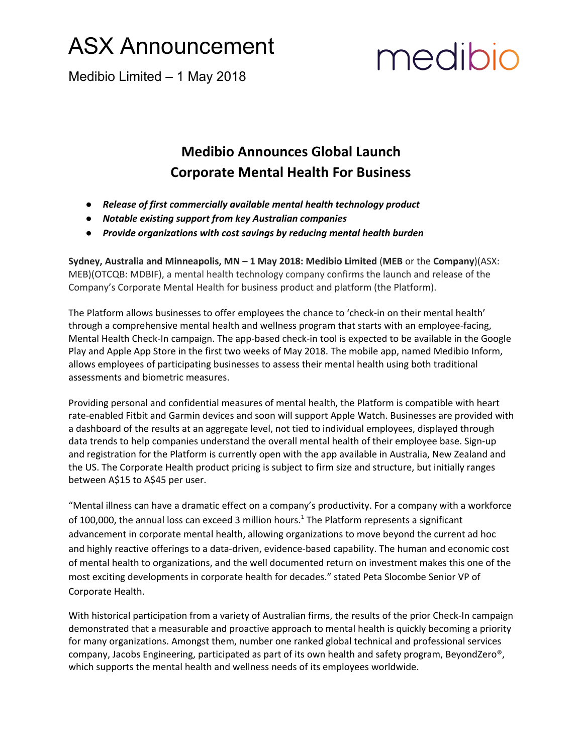#### ASX Announcement

medibio

Medibio Limited – 1 May 2018

#### **Medibio Announces Global Launch Corporate Mental Health For Business**

- *● Release of first commercially available mental health technology product*
- *● Notable existing support from key Australian companies*
- *● Provide organizations with cost savings by reducing mental health burden*

**Sydney, Australia and Minneapolis, MN – 1 May 2018: Medibio Limited** (**MEB** or the **Company**)(ASX: MEB)(OTCQB: MDBIF), a mental health technology company confirms the launch and release of the Company's Corporate Mental Health for business product and platform (the Platform).

The Platform allows businesses to offer employees the chance to 'check-in on their mental health' through a comprehensive mental health and wellness program that starts with an employee-facing, Mental Health Check-In campaign. The app-based check-in tool is expected to be available in the Google Play and Apple App Store in the first two weeks of May 2018. The mobile app, named Medibio Inform, allows employees of participating businesses to assess their mental health using both traditional assessments and biometric measures.

Providing personal and confidential measures of mental health, the Platform is compatible with heart rate-enabled Fitbit and Garmin devices and soon will support Apple Watch. Businesses are provided with a dashboard of the results at an aggregate level, not tied to individual employees, displayed through data trends to help companies understand the overall mental health of their employee base. Sign-up and registration for the Platform is currently open with the app available in Australia, New Zealand and the US. The Corporate Health product pricing is subject to firm size and structure, but initially ranges between A\$15 to A\$45 per user.

"Mental illness can have a dramatic effect on a company's productivity. For a company with a workforce of 100,000, the annual loss can exceed 3 million hours.<sup>1</sup> The Platform represents a significant advancement in corporate mental health, allowing organizations to move beyond the current ad hoc and highly reactive offerings to a data-driven, evidence-based capability. The human and economic cost of mental health to organizations, and the well documented return on investment makes this one of the most exciting developments in corporate health for decades." stated Peta Slocombe Senior VP of Corporate Health.

With historical participation from a variety of Australian firms, the results of the prior Check-In campaign demonstrated that a measurable and proactive approach to mental health is quickly becoming a priority for many organizations. Amongst them, number one ranked global technical and professional services company, Jacobs Engineering, participated as part of its own health and safety program, BeyondZero®, which supports the mental health and wellness needs of its employees worldwide.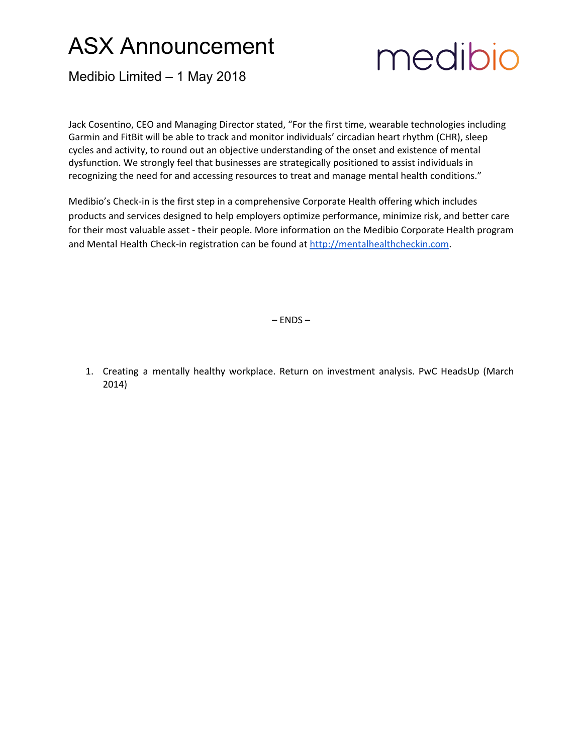### ASX Announcement



Medibio Limited – 1 May 2018

Jack Cosentino, CEO and Managing Director stated, "For the first time, wearable technologies including Garmin and FitBit will be able to track and monitor individuals' circadian heart rhythm (CHR), sleep cycles and activity, to round out an objective understanding of the onset and existence of mental dysfunction. We strongly feel that businesses are strategically positioned to assist individuals in recognizing the need for and accessing resources to treat and manage mental health conditions."

Medibio's Check-in is the first step in a comprehensive Corporate Health offering which includes products and services designed to help employers optimize performance, minimize risk, and better care for their most valuable asset - their people. More information on the Medibio Corporate Health program and Mental Health Check-in registration can be found at [http://mentalhealthcheckin.com.](http://mentalhealthcheckin.com/)

– ENDS –

1. Creating a mentally healthy workplace. Return on investment analysis. PwC HeadsUp (March 2014)